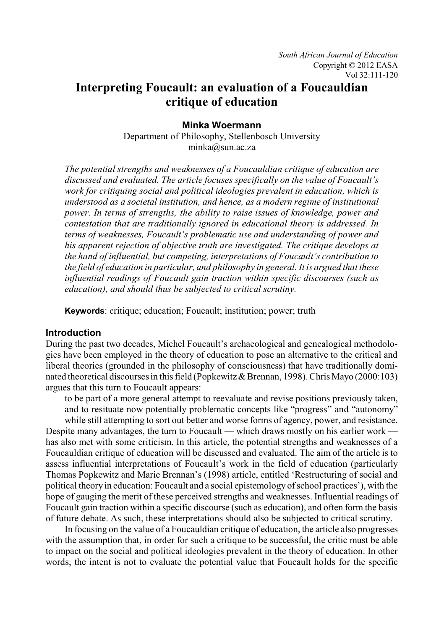# **Interpreting Foucault: an evaluation of a Foucauldian critique of education**

**Minka Woermann**

Department of Philosophy, Stellenbosch University minka@sun.ac.za

*The potential strengths and weaknesses of a Foucauldian critique of education are discussed and evaluated. The article focuses specifically on the value of Foucault's work for critiquing social and political ideologies prevalent in education, which is understood as a societal institution, and hence, as a modern regime of institutional power. In terms of strengths, the ability to raise issues of knowledge, power and contestation that are traditionally ignored in educational theory is addressed. In terms of weaknesses, Foucault's problematic use and understanding of power and his apparent rejection of objective truth are investigated. The critique develops at the hand of influential, but competing, interpretations of Foucault's contribution to the field of education in particular, and philosophy in general. It is argued that these influential readings of Foucault gain traction within specific discourses (such as education), and should thus be subjected to critical scrutiny.* 

**Keywords**: critique; education; Foucault; institution; power; truth

# **Introduction**

During the past two decades, Michel Foucault's archaeological and genealogical methodologies have been employed in the theory of education to pose an alternative to the critical and liberal theories (grounded in the philosophy of consciousness) that have traditionally dominated theoretical discourses in this field (Popkewitz & Brennan, 1998). Chris Mayo (2000:103) argues that this turn to Foucault appears:

to be part of a more general attempt to reevaluate and revise positions previously taken, and to resituate now potentially problematic concepts like "progress" and "autonomy"

while still attempting to sort out better and worse forms of agency, power, and resistance. Despite many advantages, the turn to Foucault — which draws mostly on his earlier work has also met with some criticism. In this article, the potential strengths and weaknesses of a Foucauldian critique of education will be discussed and evaluated. The aim of the article is to assess influential interpretations of Foucault's work in the field of education (particularly Thomas Popkewitz and Marie Brennan's (1998) article, entitled 'Restructuring of social and political theory in education: Foucault and a social epistemology of school practices'), with the hope of gauging the merit of these perceived strengths and weaknesses. Influential readings of Foucault gain traction within a specific discourse (such as education), and often form the basis of future debate. As such, these interpretations should also be subjected to critical scrutiny.

In focusing on the value of a Foucauldian critique of education, the article also progresses with the assumption that, in order for such a critique to be successful, the critic must be able to impact on the social and political ideologies prevalent in the theory of education. In other words, the intent is not to evaluate the potential value that Foucault holds for the specific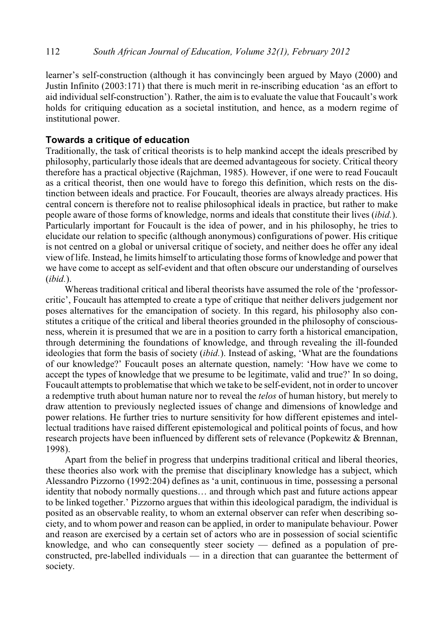learner's self-construction (although it has convincingly been argued by Mayo (2000) and Justin Infinito (2003:171) that there is much merit in re-inscribing education 'as an effort to aid individual self-construction'). Rather, the aim is to evaluate the value that Foucault's work holds for critiquing education as a societal institution, and hence, as a modern regime of institutional power.

## **Towards a critique of education**

Traditionally, the task of critical theorists is to help mankind accept the ideals prescribed by philosophy, particularly those ideals that are deemed advantageous for society. Critical theory therefore has a practical objective (Rajchman, 1985). However, if one were to read Foucault as a critical theorist, then one would have to forego this definition, which rests on the distinction between ideals and practice. For Foucault, theories are always already practices. His central concern is therefore not to realise philosophical ideals in practice, but rather to make people aware of those forms of knowledge, norms and ideals that constitute their lives (*ibid.*). Particularly important for Foucault is the idea of power, and in his philosophy, he tries to elucidate our relation to specific (although anonymous) configurations of power. His critique is not centred on a global or universal critique of society, and neither does he offer any ideal view of life. Instead, he limits himself to articulating those forms of knowledge and power that we have come to accept as self-evident and that often obscure our understanding of ourselves (*ibid.*).

Whereas traditional critical and liberal theorists have assumed the role of the 'professorcritic', Foucault has attempted to create a type of critique that neither delivers judgement nor poses alternatives for the emancipation of society. In this regard, his philosophy also constitutes a critique of the critical and liberal theories grounded in the philosophy of consciousness, wherein it is presumed that we are in a position to carry forth a historical emancipation, through determining the foundations of knowledge, and through revealing the ill-founded ideologies that form the basis of society (*ibid.*). Instead of asking, 'What are the foundations of our knowledge?' Foucault poses an alternate question, namely: 'How have we come to accept the types of knowledge that we presume to be legitimate, valid and true?' In so doing, Foucault attempts to problematise that which we take to be self-evident, not in order to uncover a redemptive truth about human nature nor to reveal the *telos* of human history, but merely to draw attention to previously neglected issues of change and dimensions of knowledge and power relations. He further tries to nurture sensitivity for how different epistemes and intellectual traditions have raised different epistemological and political points of focus, and how research projects have been influenced by different sets of relevance (Popkewitz & Brennan, 1998).

Apart from the belief in progress that underpins traditional critical and liberal theories, these theories also work with the premise that disciplinary knowledge has a subject, which Alessandro Pizzorno (1992:204) defines as 'a unit, continuous in time, possessing a personal identity that nobody normally questions… and through which past and future actions appear to be linked together.' Pizzorno argues that within this ideological paradigm, the individual is posited as an observable reality, to whom an external observer can refer when describing society, and to whom power and reason can be applied, in order to manipulate behaviour. Power and reason are exercised by a certain set of actors who are in possession of social scientific knowledge, and who can consequently steer society — defined as a population of preconstructed, pre-labelled individuals — in a direction that can guarantee the betterment of society.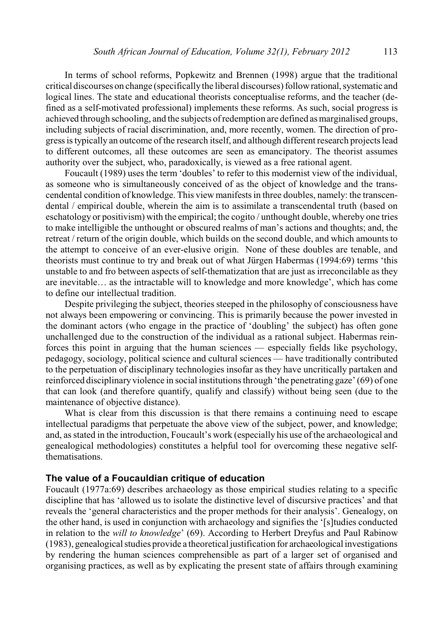In terms of school reforms, Popkewitz and Brennen (1998) argue that the traditional critical discourses on change (specificallythe liberal discourses) followrational, systematic and logical lines. The state and educational theorists conceptualise reforms, and the teacher (defined as a self-motivated professional) implements these reforms. As such, social progress is achieved through schooling, and the subjects of redemption are defined as marginalised groups, including subjects of racial discrimination, and, more recently, women. The direction of progress is typically an outcome of the research itself, and although different research projects lead to different outcomes, all these outcomes are seen as emancipatory. The theorist assumes authority over the subject, who, paradoxically, is viewed as a free rational agent.

Foucault (1989) uses the term 'doubles' to refer to this modernist view of the individual, as someone who is simultaneously conceived of as the object of knowledge and the transcendental condition of knowledge. This viewmanifests in three doubles, namely: the transcendental / empirical double, wherein the aim is to assimilate a transcendental truth (based on eschatology or positivism) with the empirical; the cogito / unthought double, whereby one tries to make intelligible the unthought or obscured realms of man's actions and thoughts; and, the retreat / return of the origin double, which builds on the second double, and which amounts to the attempt to conceive of an ever-elusive origin. None of these doubles are tenable, and theorists must continue to try and break out of what Jürgen Habermas (1994:69) terms 'this unstable to and fro between aspects of self-thematization that are just as irreconcilable as they are inevitable… as the intractable will to knowledge and more knowledge', which has come to define our intellectual tradition.

Despite privileging the subject, theories steeped in the philosophy of consciousness have not always been empowering or convincing. This is primarily because the power invested in the dominant actors (who engage in the practice of 'doubling' the subject) has often gone unchallenged due to the construction of the individual as a rational subject. Habermas reinforces this point in arguing that the human sciences — especially fields like psychology, pedagogy, sociology, political science and cultural sciences — have traditionally contributed to the perpetuation of disciplinary technologies insofar as they have uncritically partaken and reinforced disciplinary violence in social institutions through 'the penetrating gaze' (69) of one that can look (and therefore quantify, qualify and classify) without being seen (due to the maintenance of objective distance).

What is clear from this discussion is that there remains a continuing need to escape intellectual paradigms that perpetuate the above view of the subject, power, and knowledge; and, as stated in the introduction, Foucault's work (especially his use of the archaeological and genealogical methodologies) constitutes a helpful tool for overcoming these negative selfthematisations.

# **The value of a Foucauldian critique of education**

Foucault (1977a:69) describes archaeology as those empirical studies relating to a specific discipline that has 'allowed us to isolate the distinctive level of discursive practices' and that reveals the 'general characteristics and the proper methods for their analysis'. Genealogy, on the other hand, is used in conjunction with archaeology and signifies the '[s]tudies conducted in relation to the *will to knowledge*' (69). According to Herbert Dreyfus and Paul Rabinow (1983), genealogical studies provide a theoretical justification for archaeological investigations by rendering the human sciences comprehensible as part of a larger set of organised and organising practices, as well as by explicating the present state of affairs through examining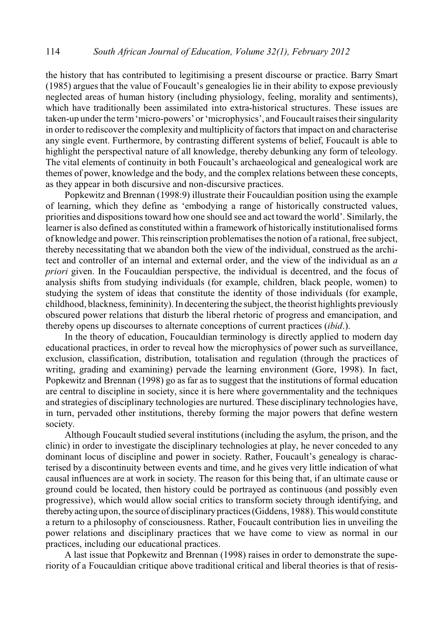the history that has contributed to legitimising a present discourse or practice. Barry Smart (1985) argues that the value of Foucault's genealogies lie in their ability to expose previously neglected areas of human history (including physiology, feeling, morality and sentiments), which have traditionally been assimilated into extra-historical structures. These issues are taken-up under the term'micro-powers' or 'microphysics', and Foucault raises their singularity in order to rediscover the complexity and multiplicity of factors that impact on and characterise any single event. Furthermore, by contrasting different systems of belief, Foucault is able to highlight the perspectival nature of all knowledge, thereby debunking any form of teleology. The vital elements of continuity in both Foucault's archaeological and genealogical work are themes of power, knowledge and the body, and the complex relations between these concepts, as they appear in both discursive and non-discursive practices.

Popkewitz and Brennan (1998:9) illustrate their Foucauldian position using the example of learning, which they define as 'embodying a range of historically constructed values, priorities and dispositions toward how one should see and act toward the world'. Similarly, the learner is also defined as constituted within a framework of historically institutionalised forms of knowledge and power. This reinscription problematises the notion of a rational, free subject, thereby necessitating that we abandon both the view of the individual, construed as the architect and controller of an internal and external order, and the view of the individual as an *a priori* given. In the Foucauldian perspective, the individual is decentred, and the focus of analysis shifts from studying individuals (for example, children, black people, women) to studying the system of ideas that constitute the identity of those individuals (for example, childhood, blackness, femininity). In decentering the subject, the theorist highlights previously obscured power relations that disturb the liberal rhetoric of progress and emancipation, and thereby opens up discourses to alternate conceptions of current practices (*ibid*.).

In the theory of education, Foucauldian terminology is directly applied to modern day educational practices, in order to reveal how the microphysics of power such as surveillance, exclusion, classification, distribution, totalisation and regulation (through the practices of writing, grading and examining) pervade the learning environment (Gore, 1998). In fact, Popkewitz and Brennan (1998) go as far as to suggest that the institutions of formal education are central to discipline in society, since it is here where governmentality and the techniques and strategies of disciplinary technologies are nurtured. These disciplinary technologies have, in turn, pervaded other institutions, thereby forming the major powers that define western society.

Although Foucault studied several institutions (including the asylum, the prison, and the clinic) in order to investigate the disciplinary technologies at play, he never conceded to any dominant locus of discipline and power in society. Rather, Foucault's genealogy is characterised by a discontinuity between events and time, and he gives very little indication of what causal influences are at work in society. The reason for this being that, if an ultimate cause or ground could be located, then history could be portrayed as continuous (and possibly even progressive), which would allow social critics to transform society through identifying, and therebyacting upon, the source of disciplinary practices (Giddens, 1988). This would constitute a return to a philosophy of consciousness. Rather, Foucault contribution lies in unveiling the power relations and disciplinary practices that we have come to view as normal in our practices, including our educational practices.

A last issue that Popkewitz and Brennan (1998) raises in order to demonstrate the superiority of a Foucauldian critique above traditional critical and liberal theories is that of resis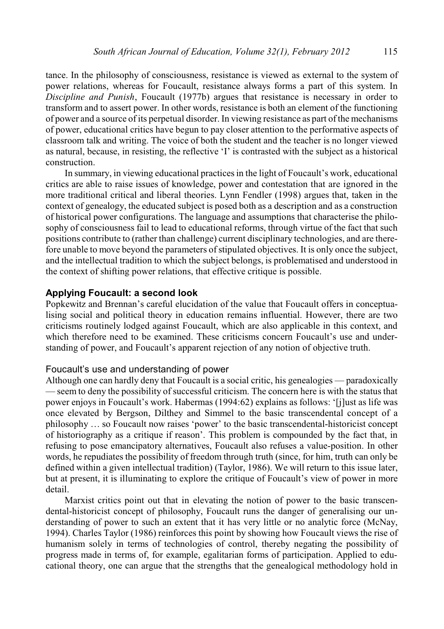tance. In the philosophy of consciousness, resistance is viewed as external to the system of power relations, whereas for Foucault, resistance always forms a part of this system. In *Discipline and Punish*, Foucault (1977b) argues that resistance is necessary in order to transform and to assert power. In other words, resistance is both an element of the functioning of power and a source of its perpetual disorder. In viewing resistance as part of the mechanisms of power, educational critics have begun to pay closer attention to the performative aspects of classroom talk and writing. The voice of both the student and the teacher is no longer viewed as natural, because, in resisting, the reflective 'I' is contrasted with the subject as a historical construction.

In summary, in viewing educational practices in the light of Foucault's work, educational critics are able to raise issues of knowledge, power and contestation that are ignored in the more traditional critical and liberal theories. Lynn Fendler (1998) argues that, taken in the context of genealogy, the educated subject is posed both as a description and as a construction of historical power configurations. The language and assumptions that characterise the philosophy of consciousness fail to lead to educational reforms, through virtue of the fact that such positions contribute to (rather than challenge) current disciplinary technologies, and are therefore unable to move beyond the parameters of stipulated objectives. It is only once the subject, and the intellectual tradition to which the subject belongs, is problematised and understood in the context of shifting power relations, that effective critique is possible.

## **Applying Foucault: a second look**

Popkewitz and Brennan's careful elucidation of the value that Foucault offers in conceptualising social and political theory in education remains influential. However, there are two criticisms routinely lodged against Foucault, which are also applicable in this context, and which therefore need to be examined. These criticisms concern Foucault's use and understanding of power, and Foucault's apparent rejection of any notion of objective truth.

## Foucault's use and understanding of power

Although one can hardly deny that Foucault is a social critic, his genealogies — paradoxically — seem to deny the possibility of successful criticism. The concern here is with the status that power enjoys in Foucault's work. Habermas (1994:62) explains as follows: '[j]ust as life was once elevated by Bergson, Dilthey and Simmel to the basic transcendental concept of a philosophy … so Foucault now raises 'power' to the basic transcendental-historicist concept of historiography as a critique if reason'. This problem is compounded by the fact that, in refusing to pose emancipatory alternatives, Foucault also refuses a value-position. In other words, he repudiates the possibility of freedom through truth (since, for him, truth can only be defined within a given intellectual tradition) (Taylor, 1986). We will return to this issue later, but at present, it is illuminating to explore the critique of Foucault's view of power in more detail.

Marxist critics point out that in elevating the notion of power to the basic transcendental-historicist concept of philosophy, Foucault runs the danger of generalising our understanding of power to such an extent that it has very little or no analytic force (McNay, 1994). Charles Taylor (1986) reinforces this point by showing how Foucault views the rise of humanism solely in terms of technologies of control, thereby negating the possibility of progress made in terms of, for example, egalitarian forms of participation. Applied to educational theory, one can argue that the strengths that the genealogical methodology hold in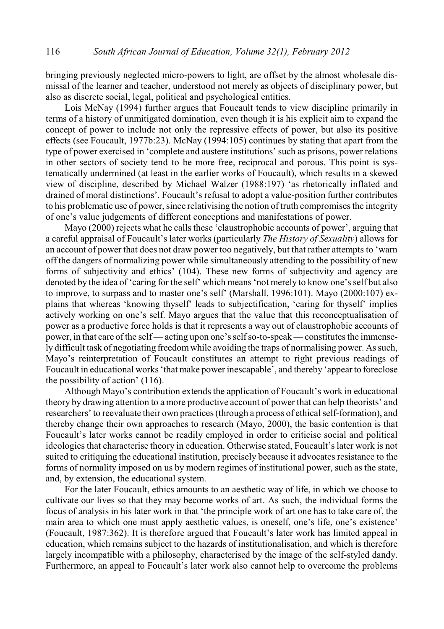bringing previously neglected micro-powers to light, are offset by the almost wholesale dismissal of the learner and teacher, understood not merely as objects of disciplinary power, but also as discrete social, legal, political and psychological entities.

Lois McNay (1994) further argues that Foucault tends to view discipline primarily in terms of a history of unmitigated domination, even though it is his explicit aim to expand the concept of power to include not only the repressive effects of power, but also its positive effects (see Foucault, 1977b:23). McNay (1994:105) continues by stating that apart from the type of power exercised in 'complete and austere institutions' such as prisons, power relations in other sectors of society tend to be more free, reciprocal and porous. This point is systematically undermined (at least in the earlier works of Foucault), which results in a skewed view of discipline, described by Michael Walzer (1988:197) 'as rhetorically inflated and drained of moral distinctions'. Foucault's refusal to adopt a value-position further contributes to his problematic use of power, since relativising the notion of truth compromises the integrity of one's value judgements of different conceptions and manifestations of power.

Mayo (2000) rejects what he calls these 'claustrophobic accounts of power', arguing that a careful appraisal of Foucault's later works (particularly *The History of Sexuality*) allows for an account of power that does not draw power too negatively, but that rather attempts to 'warn off the dangers of normalizing power while simultaneously attending to the possibility of new forms of subjectivity and ethics' (104). These new forms of subjectivity and agency are denoted by the idea of 'caring for the self' which means 'not merely to know one's self but also to improve, to surpass and to master one's self' (Marshall, 1996:101). Mayo (2000:107) explains that whereas 'knowing thyself' leads to subjectification, 'caring for thyself' implies actively working on one's self. Mayo argues that the value that this reconceptualisation of power as a productive force holds is that it represents a way out of claustrophobic accounts of power, in that care of the self— acting upon one's selfso-to-speak — constitutes the immensely difficult task of negotiating freedomwhile avoiding the traps of normalising power. As such, Mayo's reinterpretation of Foucault constitutes an attempt to right previous readings of Foucault in educational works 'that make power inescapable', and thereby 'appear to foreclose the possibility of action' (116).

Although Mayo's contribution extends the application of Foucault's work in educational theory by drawing attention to a more productive account of power that can help theorists' and researchers' to reevaluate their own practices (through a process of ethical self-formation), and thereby change their own approaches to research (Mayo, 2000), the basic contention is that Foucault's later works cannot be readily employed in order to criticise social and political ideologies that characterise theory in education. Otherwise stated, Foucault's later work is not suited to critiquing the educational institution, precisely because it advocates resistance to the forms of normality imposed on us by modern regimes of institutional power, such as the state, and, by extension, the educational system.

For the later Foucault, ethics amounts to an aesthetic way of life, in which we choose to cultivate our lives so that they may become works of art. As such, the individual forms the focus of analysis in his later work in that 'the principle work of art one has to take care of, the main area to which one must apply aesthetic values, is oneself, one's life, one's existence' (Foucault, 1987:362). It is therefore argued that Foucault's later work has limited appeal in education, which remains subject to the hazards of institutionalisation, and which is therefore largely incompatible with a philosophy, characterised by the image of the self-styled dandy. Furthermore, an appeal to Foucault's later work also cannot help to overcome the problems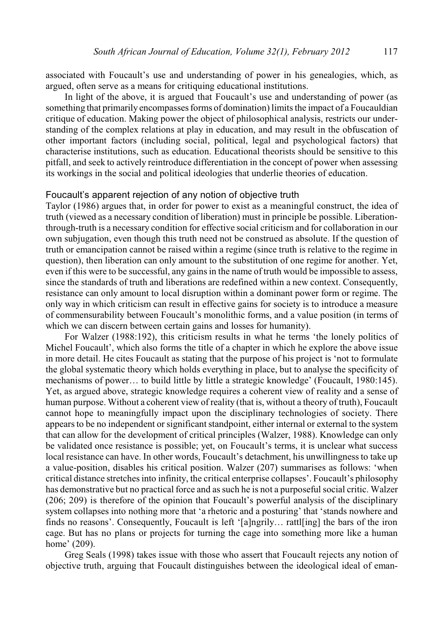associated with Foucault's use and understanding of power in his genealogies, which, as argued, often serve as a means for critiquing educational institutions.

In light of the above, it is argued that Foucault's use and understanding of power (as something that primarily encompasses forms of domination) limits the impact of a Foucauldian critique of education. Making power the object of philosophical analysis, restricts our understanding of the complex relations at play in education, and may result in the obfuscation of other important factors (including social, political, legal and psychological factors) that characterise institutions, such as education. Educational theorists should be sensitive to this pitfall, and seek to actively reintroduce differentiation in the concept of power when assessing its workings in the social and political ideologies that underlie theories of education.

## Foucault's apparent rejection of any notion of objective truth

Taylor (1986) argues that, in order for power to exist as a meaningful construct, the idea of truth (viewed as a necessary condition of liberation) must in principle be possible. Liberationthrough-truth is a necessary condition for effective social criticism and for collaboration in our own subjugation, even though this truth need not be construed as absolute. If the question of truth or emancipation cannot be raised within a regime (since truth is relative to the regime in question), then liberation can only amount to the substitution of one regime for another. Yet, even if this were to be successful, any gains in the name of truth would be impossible to assess, since the standards of truth and liberations are redefined within a new context. Consequently, resistance can only amount to local disruption within a dominant power form or regime. The only way in which criticism can result in effective gains for society is to introduce a measure of commensurability between Foucault's monolithic forms, and a value position (in terms of which we can discern between certain gains and losses for humanity).

For Walzer (1988:192), this criticism results in what he terms 'the lonely politics of Michel Foucault', which also forms the title of a chapter in which he explore the above issue in more detail. He cites Foucault as stating that the purpose of his project is 'not to formulate the global systematic theory which holds everything in place, but to analyse the specificity of mechanisms of power… to build little by little a strategic knowledge' (Foucault, 1980:145). Yet, as argued above, strategic knowledge requires a coherent view of reality and a sense of human purpose. Without a coherent viewof reality (that is, without a theory of truth), Foucault cannot hope to meaningfully impact upon the disciplinary technologies of society. There appears to be no independent or significant standpoint, either internal or external to the system that can allow for the development of critical principles (Walzer, 1988). Knowledge can only be validated once resistance is possible; yet, on Foucault's terms, it is unclear what success local resistance can have. In other words, Foucault's detachment, his unwillingness to take up a value-position, disables his critical position. Walzer (207) summarises as follows: 'when critical distance stretches into infinity, the critical enterprise collapses'. Foucault's philosophy has demonstrative but no practical force and as such he is not a purposeful social critic. Walzer (206; 209) is therefore of the opinion that Foucault's powerful analysis of the disciplinary system collapses into nothing more that 'a rhetoric and a posturing' that 'stands nowhere and finds no reasons'. Consequently, Foucault is left '[a]ngrily… rattl[ing] the bars of the iron cage. But has no plans or projects for turning the cage into something more like a human home' (209).

Greg Seals (1998) takes issue with those who assert that Foucault rejects any notion of objective truth, arguing that Foucault distinguishes between the ideological ideal of eman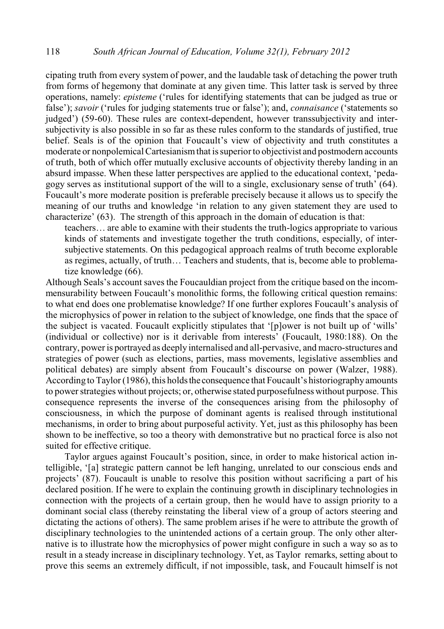cipating truth from every system of power, and the laudable task of detaching the power truth from forms of hegemony that dominate at any given time. This latter task is served by three operations, namely: *episteme* ('rules for identifying statements that can be judged as true or false'); *savoir* ('rules for judging statements true or false'); and, *connaisance* ('statements so judged') (59-60). These rules are context-dependent, however transsubjectivity and intersubjectivity is also possible in so far as these rules conform to the standards of justified, true belief. Seals is of the opinion that Foucault's view of objectivity and truth constitutes a moderate or nonpolemical Cartesianismthat is superior to objectivist and postmodern accounts of truth, both of which offer mutually exclusive accounts of objectivity thereby landing in an absurd impasse. When these latter perspectives are applied to the educational context, 'pedagogy serves as institutional support of the will to a single, exclusionary sense of truth' (64). Foucault's more moderate position is preferable precisely because it allows us to specify the meaning of our truths and knowledge 'in relation to any given statement they are used to characterize' (63). The strength of this approach in the domain of education is that:

teachers… are able to examine with their students the truth-logics appropriate to various kinds of statements and investigate together the truth conditions, especially, of intersubjective statements. On this pedagogical approach realms of truth become explorable as regimes, actually, of truth… Teachers and students, that is, become able to problematize knowledge (66).

Although Seals's account saves the Foucauldian project from the critique based on the incommensurability between Foucault's monolithic forms, the following critical question remains: to what end does one problematise knowledge? If one further explores Foucault's analysis of the microphysics of power in relation to the subject of knowledge, one finds that the space of the subject is vacated. Foucault explicitly stipulates that '[p]ower is not built up of 'wills' (individual or collective) nor is it derivable from interests' (Foucault, 1980:188). On the contrary, power is portrayed as deeply internalised and all-pervasive, and macro-structures and strategies of power (such as elections, parties, mass movements, legislative assemblies and political debates) are simply absent from Foucault's discourse on power (Walzer, 1988). According to Taylor (1986), this holds the consequence that Foucault's historiography amounts to power strategies without projects; or, otherwise stated purposefulness without purpose. This consequence represents the inverse of the consequences arising from the philosophy of consciousness, in which the purpose of dominant agents is realised through institutional mechanisms, in order to bring about purposeful activity. Yet, just as this philosophy has been shown to be ineffective, so too a theory with demonstrative but no practical force is also not suited for effective critique.

Taylor argues against Foucault's position, since, in order to make historical action intelligible, '[a] strategic pattern cannot be left hanging, unrelated to our conscious ends and projects' (87). Foucault is unable to resolve this position without sacrificing a part of his declared position. If he were to explain the continuing growth in disciplinary technologies in connection with the projects of a certain group, then he would have to assign priority to a dominant social class (thereby reinstating the liberal view of a group of actors steering and dictating the actions of others). The same problem arises if he were to attribute the growth of disciplinary technologies to the unintended actions of a certain group. The only other alternative is to illustrate how the microphysics of power might configure in such a way so as to result in a steady increase in disciplinary technology. Yet, as Taylor remarks, setting about to prove this seems an extremely difficult, if not impossible, task, and Foucault himself is not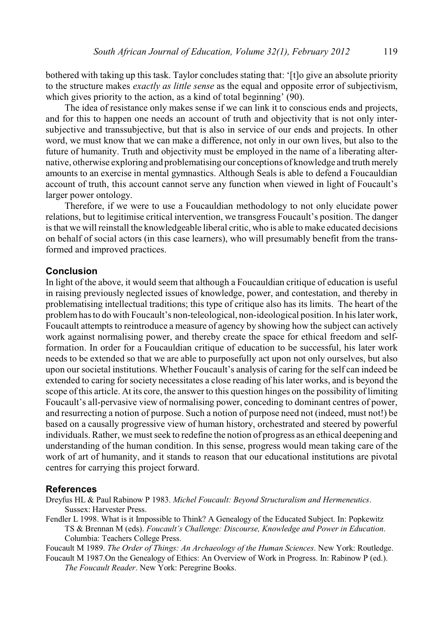bothered with taking up this task. Taylor concludes stating that: '[t]o give an absolute priority to the structure makes *exactly as little sense* as the equal and opposite error of subjectivism, which gives priority to the action, as a kind of total beginning' (90).

The idea of resistance only makes sense if we can link it to conscious ends and projects, and for this to happen one needs an account of truth and objectivity that is not only intersubjective and transsubjective, but that is also in service of our ends and projects. In other word, we must know that we can make a difference, not only in our own lives, but also to the future of humanity. Truth and objectivity must be employed in the name of a liberating alternative, otherwise exploring and problematising our conceptions of knowledge and truth merely amounts to an exercise in mental gymnastics. Although Seals is able to defend a Foucauldian account of truth, this account cannot serve any function when viewed in light of Foucault's larger power ontology.

Therefore, if we were to use a Foucauldian methodology to not only elucidate power relations, but to legitimise critical intervention, we transgress Foucault's position. The danger is that we will reinstall the knowledgeable liberal critic, who is able to make educated decisions on behalf of social actors (in this case learners), who will presumably benefit from the transformed and improved practices.

## **Conclusion**

In light of the above, it would seem that although a Foucauldian critique of education is useful in raising previously neglected issues of knowledge, power, and contestation, and thereby in problematising intellectual traditions; this type of critique also has its limits. The heart of the problemhas to do with Foucault's non-teleological, non-ideological position. In his later work, Foucault attempts to reintroduce a measure of agency by showing how the subject can actively work against normalising power, and thereby create the space for ethical freedom and selfformation. In order for a Foucauldian critique of education to be successful, his later work needs to be extended so that we are able to purposefully act upon not only ourselves, but also upon our societal institutions. Whether Foucault's analysis of caring for the self can indeed be extended to caring for society necessitates a close reading of his later works, and is beyond the scope of this article. At its core, the answer to this question hinges on the possibility of limiting Foucault's all-pervasive view of normalising power, conceding to dominant centres of power, and resurrecting a notion of purpose. Such a notion of purpose need not (indeed, must not!) be based on a causally progressive view of human history, orchestrated and steered by powerful individuals. Rather, we must seek to redefine the notion of progress as an ethical deepening and understanding of the human condition. In this sense, progress would mean taking care of the work of art of humanity, and it stands to reason that our educational institutions are pivotal centres for carrying this project forward.

#### **References**

Dreyfus HL & Paul Rabinow P 1983. *Michel Foucault: Beyond Structuralism and Hermeneutics*. Sussex: Harvester Press.

Fendler L 1998. What is it Impossible to Think? A Genealogy of the Educated Subject. In: Popkewitz TS & Brennan M (eds). *Foucault's Challenge: Discourse, Knowledge and Power in Education*. Columbia: Teachers College Press.

Foucault M 1989. *The Order of Things: An Archaeology of the Human Sciences*. New York: Routledge.

Foucault M 1987.On the Genealogy of Ethics: An Overview of Work in Progress. In: Rabinow P (ed.). *The Foucault Reader*. New York: Peregrine Books.